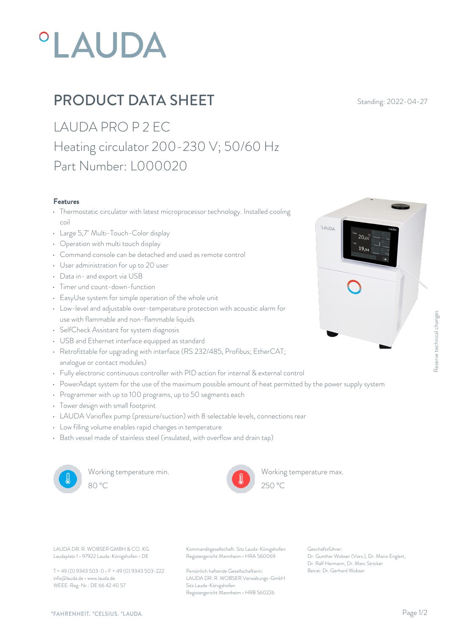# **°LAUDA**

## **PRODUCT DATA SHEET** Standing: 2022-04-27

LAUDA PRO P 2 EC Heating circulator 200-230 V; 50/60 Hz Part Number: L000020

#### Features

- Thermostatic circulator with latest microprocessor technology. Installed cooling coil
- Large 5,7" Multi-Touch-Color display
- Operation with multi touch display
- Command console can be detached and used as remote control
- User administration for up to 20 user
- Data in- and export via USB
- Timer und count-down-function
- EasyUse system for simple operation of the whole unit
- Low-level and adjustable over-temperature protection with acoustic alarm for use with flammable and non-flammable liquids
- SelfCheck Assistant for system diagnosis
- USB and Ethernet interface equipped as standard
- Retrofittable for upgrading with interface (RS 232/485, Profibus; EtherCAT; analogue or contact modules)
- Fully electronic continuous controller with PID action for internal & external control
- PowerAdapt system for the use of the maximum possible amount of heat permitted by the power supply system
- Programmer with up to 100 programs, up to 50 segments each
- Tower design with small footprint
- LAUDA Varioflex pump (pressure/suction) with 8 selectable levels, connections rear
- Low filling volume enables rapid changes in temperature
- Bath vessel made of stainless steel (insulated, with overflow and drain tap)



Working temperature min.



Working temperature max.

Beschäftsführer:<br>Beischäftsführer:<br>Br. Gunther Wobser (Vors.), Dr. Mario Englert, and Son Stephen<br>Dr. Raff Hermann, Dr. Marc Stricker<br>Beirat: Dr. Gerhard Wobser

 $20<sub>0</sub>$  $19,94$ 

**LAUDA** 

Laudaplatz 1 • 97922 Lauda-Königshofen • DE

T + 49 (0) 9343 503-0 • F + 49 (0) 9343 503-222 info@lauda.de • www.lauda.de WEEE-Reg-Nr.: DE 66 42 40 57

LAUDA DR. R. WOBSER GMBH & CO. KG Kommanditgesellschaft: Sitz Lauda-Königshofen Geschäftsführer: Registergericht Mannheim • HRA 560069

> Persönlich haftende Gesellschafterin: Beirat: Dr. Gerhard Wobse LAUDA DR. R. WOBSER Verwaltungs-GmbH Sitz Lauda-Königshofen Registergericht Mannheim • HRB 560226

Geschäftsführer: Dr. Gunther Wobser (Vors.), Dr. Mario Englert, Dr. Ralf Hermann, Dr. Marc Stricker